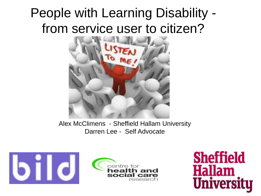# People with Learning Disability from service user to citizen?



Alex McClimens - Sheffield Hallam University Darren Lee - Self Advocate





**Sheffield Hallam University**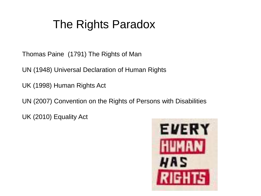## The Rights Paradox

Thomas Paine (1791) The Rights of Man

UN (1948) Universal Declaration of Human Rights

UK (1998) Human Rights Act

UN (2007) Convention on the Rights of Persons with Disabilities

UK (2010) Equality Act

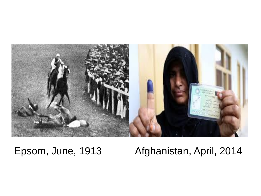

### Epsom, June, 1913 Afghanistan, April, 2014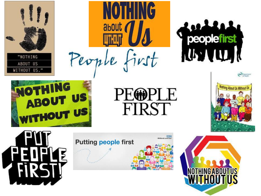







**PEOPLE** FIRST







**OTHING** 



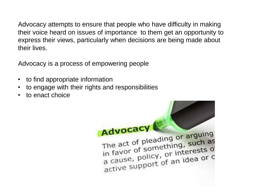Advocacy attempts to ensure that people who have difficulty in making their voice heard on issues of importance to them get an opportunity to express their views, particularly when decisions are being made about their lives.

Advocacy is a process of empowering people

- to find appropriate information
- to engage with their rights and responsibilities
- to enact choice

Advocacy The act of pleading or arguing The act of pleading or anych as in favor of something,<br>a cause, policy, or interests of<br>a cause, policy, or interests of a cause, policy, or interes or c<br>active support of an idea or c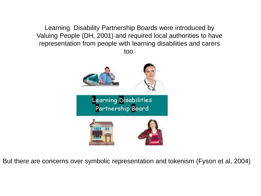Learning Disability Partnership Boards were introduced by Valuing People (DH, 2001) and required local authorities to have representation from people with learning disabilities and carers too.



But there are concerns over symbolic representation and tokenism (Fyson et al, 2004)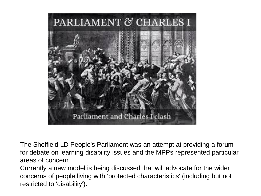

The Sheffield LD People's Parliament was an attempt at providing a forum for debate on learning disability issues and the MPPs represented particular areas of concern.

Currently a new model is being discussed that will advocate for the wider concerns of people living with 'protected characteristics' (including but not restricted to 'disability').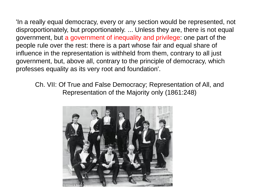'In a really equal democracy, every or any section would be represented, not disproportionately, but proportionately. ... Unless they are, there is not equal government, but a government of inequality and privilege: one part of the people rule over the rest: there is a part whose fair and equal share of influence in the representation is withheld from them, contrary to all just government, but, above all, contrary to the principle of democracy, which professes equality as its very root and foundation'.

Ch. VII: Of True and False Democracy; Representation of All, and Representation of the Majority only (1861:248)

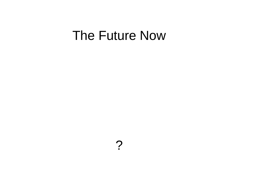## The Future Now

?